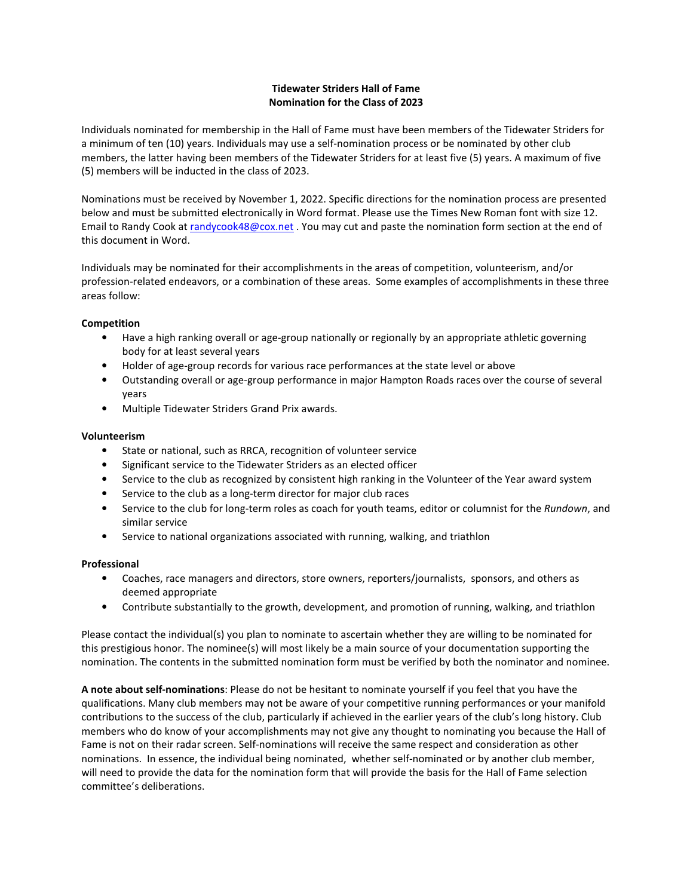# **Tidewater Striders Hall of Fame Nomination for the Class of 2023**

Individuals nominated for membership in the Hall of Fame must have been members of the Tidewater Striders for a minimum of ten (10) years. Individuals may use a self-nomination process or be nominated by other club members, the latter having been members of the Tidewater Striders for at least five (5) years. A maximum of five (5) members will be inducted in the class of 2023.

Nominations must be received by November 1, 2022. Specific directions for the nomination process are presented below and must be submitted electronically in Word format. Please use the Times New Roman font with size 12. Email to Randy Cook at randycook48@cox.net . You may cut and paste the nomination form section at the end of this document in Word.

Individuals may be nominated for their accomplishments in the areas of competition, volunteerism, and/or profession-related endeavors, or a combination of these areas. Some examples of accomplishments in these three areas follow:

# **Competition**

- Have a high ranking overall or age-group nationally or regionally by an appropriate athletic governing body for at least several years
- Holder of age-group records for various race performances at the state level or above
- Outstanding overall or age-group performance in major Hampton Roads races over the course of several years
- Multiple Tidewater Striders Grand Prix awards.

# **Volunteerism**

- State or national, such as RRCA, recognition of volunteer service
- Significant service to the Tidewater Striders as an elected officer
- Service to the club as recognized by consistent high ranking in the Volunteer of the Year award system
- Service to the club as a long-term director for major club races
- Service to the club for long-term roles as coach for youth teams, editor or columnist for the *Rundown*, and similar service
- Service to national organizations associated with running, walking, and triathlon

# **Professional**

- Coaches, race managers and directors, store owners, reporters/journalists, sponsors, and others as deemed appropriate
- Contribute substantially to the growth, development, and promotion of running, walking, and triathlon

Please contact the individual(s) you plan to nominate to ascertain whether they are willing to be nominated for this prestigious honor. The nominee(s) will most likely be a main source of your documentation supporting the nomination. The contents in the submitted nomination form must be verified by both the nominator and nominee.

**A note about self-nominations**: Please do not be hesitant to nominate yourself if you feel that you have the qualifications. Many club members may not be aware of your competitive running performances or your manifold contributions to the success of the club, particularly if achieved in the earlier years of the club's long history. Club members who do know of your accomplishments may not give any thought to nominating you because the Hall of Fame is not on their radar screen. Self-nominations will receive the same respect and consideration as other nominations. In essence, the individual being nominated, whether self-nominated or by another club member, will need to provide the data for the nomination form that will provide the basis for the Hall of Fame selection committee's deliberations.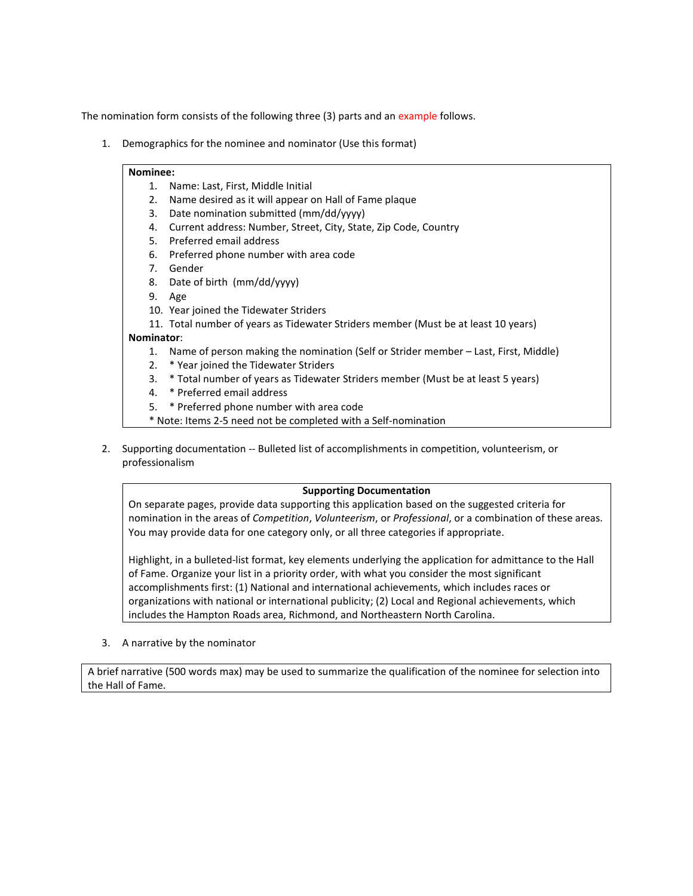The nomination form consists of the following three (3) parts and an example follows.

1. Demographics for the nominee and nominator (Use this format)

# **Nominee:**

- 1. Name: Last, First, Middle Initial
- 2. Name desired as it will appear on Hall of Fame plaque
- 3. Date nomination submitted (mm/dd/yyyy)
- 4. Current address: Number, Street, City, State, Zip Code, Country
- 5. Preferred email address
- 6. Preferred phone number with area code
- 7. Gender
- 8. Date of birth (mm/dd/yyyy)
- 9. Age
- 10. Year joined the Tidewater Striders
- 11. Total number of years as Tidewater Striders member (Must be at least 10 years)

#### **Nominator**:

- 1. Name of person making the nomination (Self or Strider member Last, First, Middle)
- 2. \* Year joined the Tidewater Striders
- 3. \* Total number of years as Tidewater Striders member (Must be at least 5 years)
- 4. \* Preferred email address
- 5. \* Preferred phone number with area code
- \* Note: Items 2-5 need not be completed with a Self-nomination
- 2. Supporting documentation -- Bulleted list of accomplishments in competition, volunteerism, or professionalism

## **Supporting Documentation**

On separate pages, provide data supporting this application based on the suggested criteria for nomination in the areas of *Competition*, *Volunteerism*, or *Professional*, or a combination of these areas. You may provide data for one category only, or all three categories if appropriate.

Highlight, in a bulleted-list format, key elements underlying the application for admittance to the Hall of Fame. Organize your list in a priority order, with what you consider the most significant accomplishments first: (1) National and international achievements, which includes races or organizations with national or international publicity; (2) Local and Regional achievements, which includes the Hampton Roads area, Richmond, and Northeastern North Carolina.

3. A narrative by the nominator

A brief narrative (500 words max) may be used to summarize the qualification of the nominee for selection into the Hall of Fame.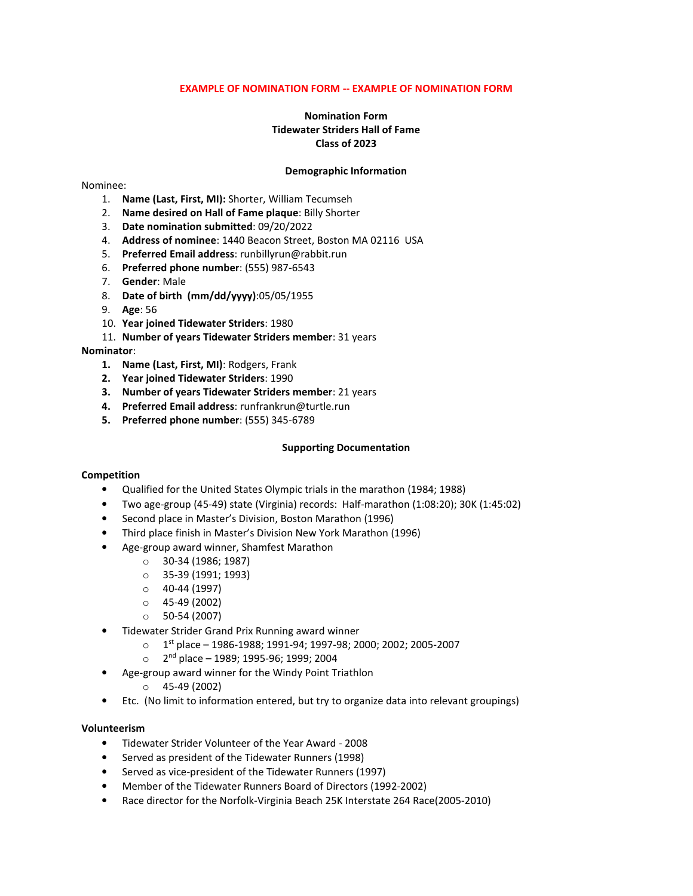# **EXAMPLE OF NOMINATION FORM -- EXAMPLE OF NOMINATION FORM**

# **Nomination Form Tidewater Striders Hall of Fame Class of 2023**

## **Demographic Information**

#### Nominee:

- 1. **Name (Last, First, MI):** Shorter, William Tecumseh
- 2. **Name desired on Hall of Fame plaque**: Billy Shorter
- 3. **Date nomination submitted**: 09/20/2022
- 4. **Address of nominee**: 1440 Beacon Street, Boston MA 02116 USA
- 5. **Preferred Email address**: runbillyrun@rabbit.run
- 6. **Preferred phone number**: (555) 987-6543
- 7. **Gender**: Male
- 8. **Date of birth (mm/dd/yyyy)**:05/05/1955
- 9. **Age**: 56
- 10. **Year joined Tidewater Striders**: 1980
- 11. **Number of years Tidewater Striders member**: 31 years

#### **Nominator**:

- **1. Name (Last, First, MI)**: Rodgers, Frank
- **2. Year joined Tidewater Striders**: 1990
- **3. Number of years Tidewater Striders member**: 21 years
- **4. Preferred Email address**: runfrankrun@turtle.run
- **5. Preferred phone number**: (555) 345-6789

#### **Supporting Documentation**

#### **Competition**

- Qualified for the United States Olympic trials in the marathon (1984; 1988)
- Two age-group (45-49) state (Virginia) records: Half-marathon (1:08:20); 30K (1:45:02)
- Second place in Master's Division, Boston Marathon (1996)
- Third place finish in Master's Division New York Marathon (1996)
- Age-group award winner, Shamfest Marathon
	- o 30-34 (1986; 1987)
	- o 35-39 (1991; 1993)
	- o 40-44 (1997)
	- o 45-49 (2002)
	- o 50-54 (2007)
- Tidewater Strider Grand Prix Running award winner
	- $O = 1$ <sup>st</sup> place 1986-1988; 1991-94; 1997-98; 2000; 2002; 2005-2007
	- $\circ$  2<sup>nd</sup> place 1989; 1995-96; 1999; 2004
- Age-group award winner for the Windy Point Triathlon
	- o 45-49 (2002)
- Etc. (No limit to information entered, but try to organize data into relevant groupings)

#### **Volunteerism**

- Tidewater Strider Volunteer of the Year Award 2008
- Served as president of the Tidewater Runners (1998)
- Served as vice-president of the Tidewater Runners (1997)
- Member of the Tidewater Runners Board of Directors (1992-2002)
- Race director for the Norfolk-Virginia Beach 25K Interstate 264 Race(2005-2010)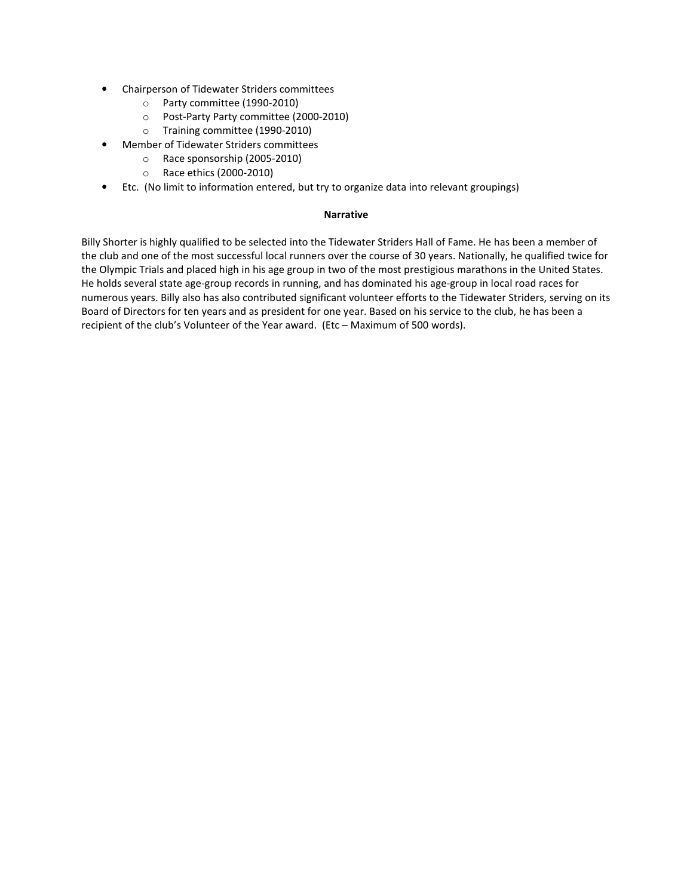- Chairperson of Tidewater Striders committees
	- o Party committee (1990-2010)
	- o Post-Party Party committee (2000-2010)
	- o Training committee (1990-2010)
- Member of Tidewater Striders committees
	- o Race sponsorship (2005-2010)
	- o Race ethics (2000-2010)
- Etc. (No limit to information entered, but try to organize data into relevant groupings)

# **Narrative**

Billy Shorter is highly qualified to be selected into the Tidewater Striders Hall of Fame. He has been a member of the club and one of the most successful local runners over the course of 30 years. Nationally, he qualified twice for the Olympic Trials and placed high in his age group in two of the most prestigious marathons in the United States. He holds several state age-group records in running, and has dominated his age-group in local road races for numerous years. Billy also has also contributed significant volunteer efforts to the Tidewater Striders, serving on its Board of Directors for ten years and as president for one year. Based on his service to the club, he has been a recipient of the club's Volunteer of the Year award. (Etc – Maximum of 500 words).